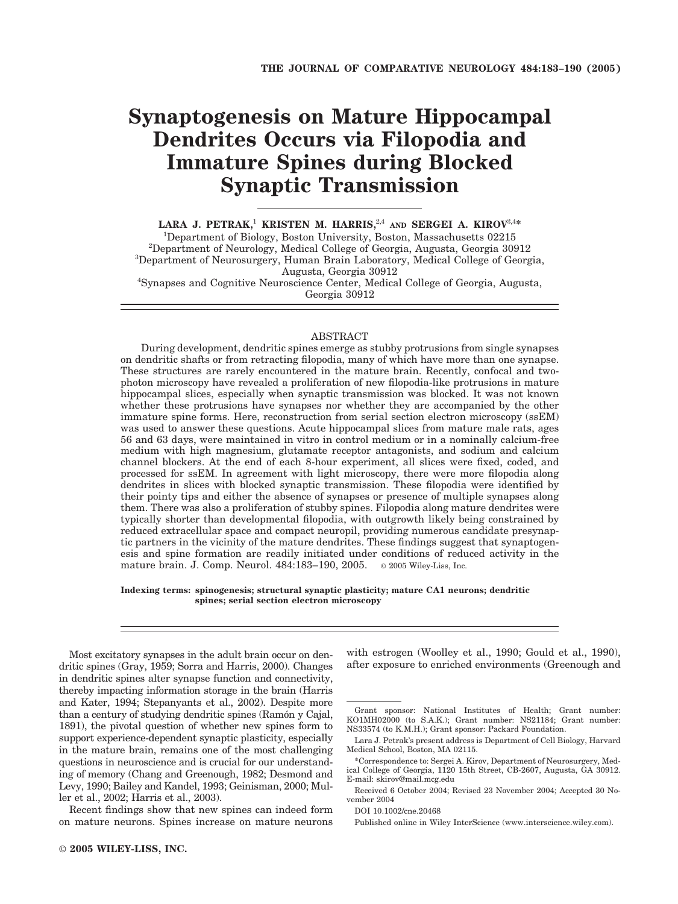# **Synaptogenesis on Mature Hippocampal Dendrites Occurs via Filopodia and Immature Spines during Blocked Synaptic Transmission**

**LARA J. PETRAK,**<sup>1</sup> **KRISTEN M. HARRIS,**2,4 **AND SERGEI A. KIROV**3,4**\*** <sup>1</sup>Department of Biology, Boston University, Boston, Massachusetts 02215<sup>2</sup>Department of Nauraleay, Medical College of Georgia Augusta Georgia 300 <sup>2</sup>Department of Neurology, Medical College of Georgia, Augusta, Georgia 30912 <sup>3</sup>Department of Neurosurgery, Human Brain Laboratory, Medical College of Georgia, Augusta, Georgia 30912 <sup>4</sup> Synapses and Cognitive Neuroscience Center, Medical College of Georgia, Augusta, Georgia 30912

#### ABSTRACT

During development, dendritic spines emerge as stubby protrusions from single synapses on dendritic shafts or from retracting filopodia, many of which have more than one synapse. These structures are rarely encountered in the mature brain. Recently, confocal and twophoton microscopy have revealed a proliferation of new filopodia-like protrusions in mature hippocampal slices, especially when synaptic transmission was blocked. It was not known whether these protrusions have synapses nor whether they are accompanied by the other immature spine forms. Here, reconstruction from serial section electron microscopy (ssEM) was used to answer these questions. Acute hippocampal slices from mature male rats, ages 56 and 63 days, were maintained in vitro in control medium or in a nominally calcium-free medium with high magnesium, glutamate receptor antagonists, and sodium and calcium channel blockers. At the end of each 8-hour experiment, all slices were fixed, coded, and processed for ssEM. In agreement with light microscopy, there were more filopodia along dendrites in slices with blocked synaptic transmission. These filopodia were identified by their pointy tips and either the absence of synapses or presence of multiple synapses along them. There was also a proliferation of stubby spines. Filopodia along mature dendrites were typically shorter than developmental filopodia, with outgrowth likely being constrained by reduced extracellular space and compact neuropil, providing numerous candidate presynaptic partners in the vicinity of the mature dendrites. These findings suggest that synaptogenesis and spine formation are readily initiated under conditions of reduced activity in the mature brain. J. Comp. Neurol. 484:183–190, 2005. © 2005 Wiley-Liss, Inc.

**Indexing terms: spinogenesis; structural synaptic plasticity; mature CA1 neurons; dendritic spines; serial section electron microscopy**

Most excitatory synapses in the adult brain occur on dendritic spines (Gray, 1959; Sorra and Harris, 2000). Changes in dendritic spines alter synapse function and connectivity, thereby impacting information storage in the brain (Harris and Kater, 1994; Stepanyants et al., 2002). Despite more than a century of studying dendritic spines (Ramón y Cajal, 1891), the pivotal question of whether new spines form to support experience-dependent synaptic plasticity, especially in the mature brain, remains one of the most challenging questions in neuroscience and is crucial for our understanding of memory (Chang and Greenough, 1982; Desmond and Levy, 1990; Bailey and Kandel, 1993; Geinisman, 2000; Muller et al., 2002; Harris et al., 2003).

Recent findings show that new spines can indeed form on mature neurons. Spines increase on mature neurons with estrogen (Woolley et al., 1990; Gould et al., 1990), after exposure to enriched environments (Greenough and

DOI 10.1002/cne.20468

Published online in Wiley InterScience (www.interscience.wiley.com).

Grant sponsor: National Institutes of Health; Grant number: KO1MH02000 (to S.A.K.); Grant number: NS21184; Grant number: NS33574 (to K.M.H.); Grant sponsor: Packard Foundation.

Lara J. Petrak's present address is Department of Cell Biology, Harvard Medical School, Boston, MA 02115.

<sup>\*</sup>Correspondence to: Sergei A. Kirov, Department of Neurosurgery, Medical College of Georgia, 1120 15th Street, CB-2607, Augusta, GA 30912. E-mail: skirov@mail.mcg.edu

Received 6 October 2004; Revised 23 November 2004; Accepted 30 November 2004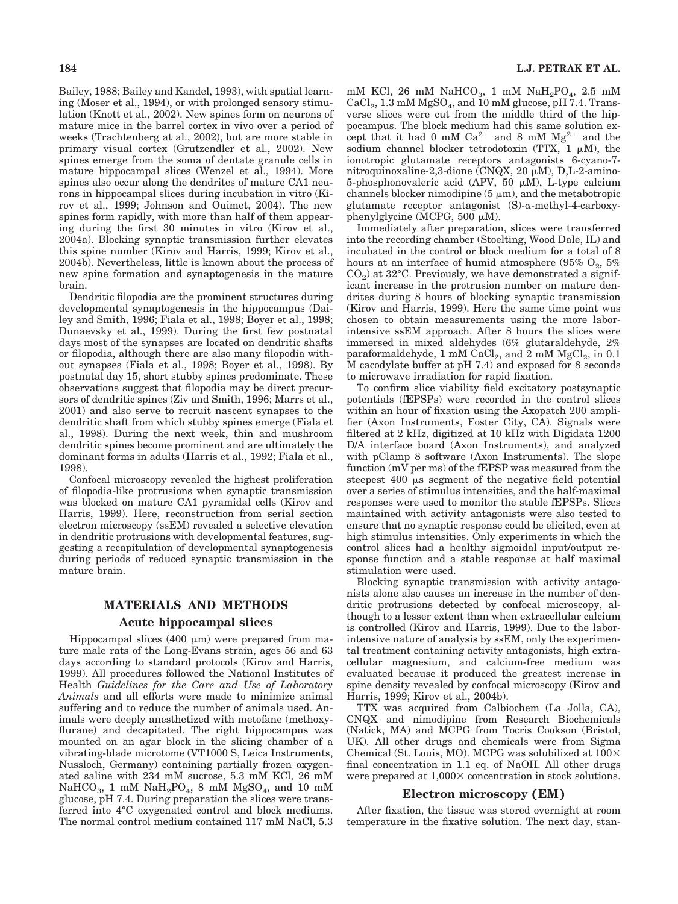Bailey, 1988; Bailey and Kandel, 1993), with spatial learning (Moser et al., 1994), or with prolonged sensory stimulation (Knott et al., 2002). New spines form on neurons of mature mice in the barrel cortex in vivo over a period of weeks (Trachtenberg at al., 2002), but are more stable in primary visual cortex (Grutzendler et al., 2002). New spines emerge from the soma of dentate granule cells in mature hippocampal slices (Wenzel et al., 1994). More spines also occur along the dendrites of mature CA1 neurons in hippocampal slices during incubation in vitro (Kirov et al., 1999; Johnson and Ouimet, 2004). The new spines form rapidly, with more than half of them appearing during the first 30 minutes in vitro (Kirov et al., 2004a). Blocking synaptic transmission further elevates this spine number (Kirov and Harris, 1999; Kirov et al., 2004b). Nevertheless, little is known about the process of new spine formation and synaptogenesis in the mature brain.

Dendritic filopodia are the prominent structures during developmental synaptogenesis in the hippocampus (Dailey and Smith, 1996; Fiala et al., 1998; Boyer et al., 1998; Dunaevsky et al., 1999). During the first few postnatal days most of the synapses are located on dendritic shafts or filopodia, although there are also many filopodia without synapses (Fiala et al., 1998; Boyer et al., 1998). By postnatal day 15, short stubby spines predominate. These observations suggest that filopodia may be direct precursors of dendritic spines (Ziv and Smith, 1996; Marrs et al., 2001) and also serve to recruit nascent synapses to the dendritic shaft from which stubby spines emerge (Fiala et al., 1998). During the next week, thin and mushroom dendritic spines become prominent and are ultimately the dominant forms in adults (Harris et al., 1992; Fiala et al., 1998).

Confocal microscopy revealed the highest proliferation of filopodia-like protrusions when synaptic transmission was blocked on mature CA1 pyramidal cells (Kirov and Harris, 1999). Here, reconstruction from serial section electron microscopy (ssEM) revealed a selective elevation in dendritic protrusions with developmental features, suggesting a recapitulation of developmental synaptogenesis during periods of reduced synaptic transmission in the mature brain.

# **MATERIALS AND METHODS Acute hippocampal slices**

Hippocampal slices (400  $\mu$ m) were prepared from mature male rats of the Long-Evans strain, ages 56 and 63 days according to standard protocols (Kirov and Harris, 1999). All procedures followed the National Institutes of Health *Guidelines for the Care and Use of Laboratory Animals* and all efforts were made to minimize animal suffering and to reduce the number of animals used. Animals were deeply anesthetized with metofane (methoxyflurane) and decapitated. The right hippocampus was mounted on an agar block in the slicing chamber of a vibrating-blade microtome (VT1000 S, Leica Instruments, Nussloch, Germany) containing partially frozen oxygenated saline with 234 mM sucrose, 5.3 mM KCl, 26 mM  $NaHCO<sub>3</sub>$ , 1 mM  $NaH<sub>2</sub>PO<sub>4</sub>$ , 8 mM  $MgSO<sub>4</sub>$ , and 10 mM glucose, pH 7.4. During preparation the slices were transferred into 4°C oxygenated control and block mediums. The normal control medium contained 117 mM NaCl, 5.3

mM KCl, 26 mM NaHCO<sub>3</sub>, 1 mM NaH<sub>2</sub>PO<sub>4</sub>, 2.5 mM  $CaCl<sub>2</sub>$ , 1.3 mM MgSO<sub>4</sub>, and 10 mM glucose, pH 7.4. Transverse slices were cut from the middle third of the hippocampus. The block medium had this same solution except that it had 0 mM  $Ca^{2+}$  and 8 mM  $Mg^{2+}$  and the sodium channel blocker tetrodotoxin (TTX,  $1 \mu M$ ), the ionotropic glutamate receptors antagonists 6-cyano-7 nitroquinoxaline-2,3-dione (CNQX, 20  $\mu$ M), D,L-2-amino-5-phosphonovaleric acid (APV, 50  $\mu$ M), L-type calcium channels blocker nimodipine  $(5 \mu m)$ , and the metabotropic glutamate receptor antagonist  $(S)$ - $\alpha$ -methyl-4-carboxyphenylglycine (MCPG,  $500 \mu M$ ).

Immediately after preparation, slices were transferred into the recording chamber (Stoelting, Wood Dale, IL) and incubated in the control or block medium for a total of 8 hours at an interface of humid atmosphere (95%  $O_2$ , 5%)  $CO<sub>2</sub>$ ) at 32°C. Previously, we have demonstrated a significant increase in the protrusion number on mature dendrites during 8 hours of blocking synaptic transmission (Kirov and Harris, 1999). Here the same time point was chosen to obtain measurements using the more laborintensive ssEM approach. After 8 hours the slices were immersed in mixed aldehydes (6% glutaraldehyde, 2% paraformaldehyde, 1 mM CaCl<sub>2</sub>, and  $\overline{2}$  mM MgCl<sub>2</sub>, in 0.1 M cacodylate buffer at pH 7.4) and exposed for 8 seconds to microwave irradiation for rapid fixation.

To confirm slice viability field excitatory postsynaptic potentials (fEPSPs) were recorded in the control slices within an hour of fixation using the Axopatch 200 amplifier (Axon Instruments, Foster City, CA). Signals were filtered at 2 kHz, digitized at 10 kHz with Digidata 1200 D/A interface board (Axon Instruments), and analyzed with pClamp 8 software (Axon Instruments). The slope function (mV per ms) of the fEPSP was measured from the steepest 400 us segment of the negative field potential over a series of stimulus intensities, and the half-maximal responses were used to monitor the stable fEPSPs. Slices maintained with activity antagonists were also tested to ensure that no synaptic response could be elicited, even at high stimulus intensities. Only experiments in which the control slices had a healthy sigmoidal input/output response function and a stable response at half maximal stimulation were used.

Blocking synaptic transmission with activity antagonists alone also causes an increase in the number of dendritic protrusions detected by confocal microscopy, although to a lesser extent than when extracellular calcium is controlled (Kirov and Harris, 1999). Due to the laborintensive nature of analysis by ssEM, only the experimental treatment containing activity antagonists, high extracellular magnesium, and calcium-free medium was evaluated because it produced the greatest increase in spine density revealed by confocal microscopy (Kirov and Harris, 1999; Kirov et al., 2004b).

TTX was acquired from Calbiochem (La Jolla, CA), CNQX and nimodipine from Research Biochemicals (Natick, MA) and MCPG from Tocris Cookson (Bristol, UK). All other drugs and chemicals were from Sigma Chemical (St. Louis, MO). MCPG was solubilized at  $100\times$ final concentration in 1.1 eq. of NaOH. All other drugs were prepared at  $1,000 \times$  concentration in stock solutions.

#### **Electron microscopy (EM)**

After fixation, the tissue was stored overnight at room temperature in the fixative solution. The next day, stan-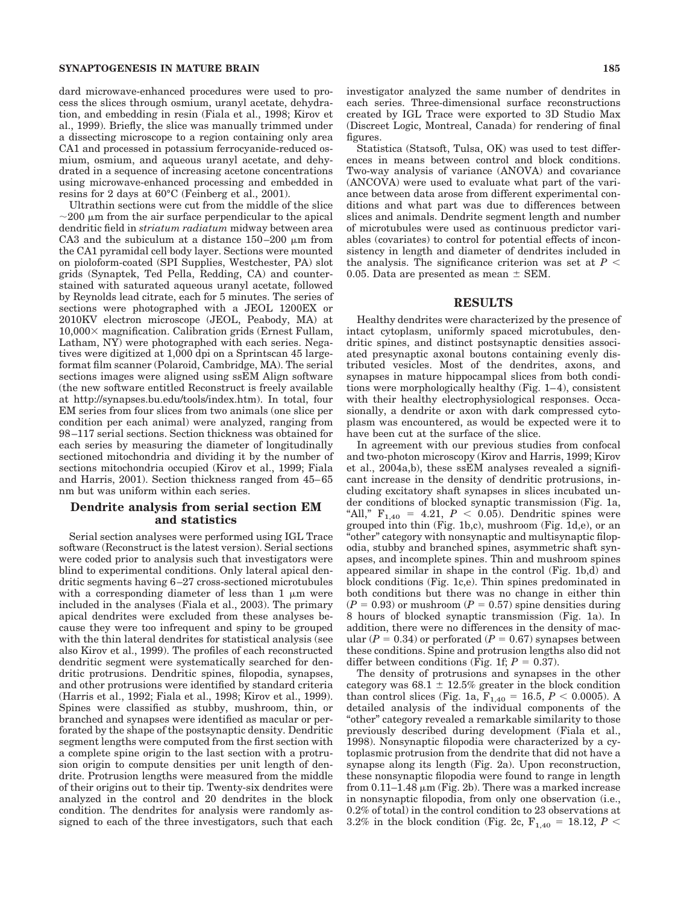#### **SYNAPTOGENESIS IN MATURE BRAIN 185**

dard microwave-enhanced procedures were used to process the slices through osmium, uranyl acetate, dehydration, and embedding in resin (Fiala et al., 1998; Kirov et al., 1999). Briefly, the slice was manually trimmed under a dissecting microscope to a region containing only area CA1 and processed in potassium ferrocyanide-reduced osmium, osmium, and aqueous uranyl acetate, and dehydrated in a sequence of increasing acetone concentrations using microwave-enhanced processing and embedded in resins for 2 days at 60°C (Feinberg et al., 2001).

Ultrathin sections were cut from the middle of the slice  $\sim$ 200  $\mu$ m from the air surface perpendicular to the apical dendritic field in *striatum radiatum* midway between area CA3 and the subiculum at a distance  $150-200 \mu m$  from the CA1 pyramidal cell body layer. Sections were mounted on pioloform-coated (SPI Supplies, Westchester, PA) slot grids (Synaptek, Ted Pella, Redding, CA) and counterstained with saturated aqueous uranyl acetate, followed by Reynolds lead citrate, each for 5 minutes. The series of sections were photographed with a JEOL 1200EX or 2010KV electron microscope (JEOL, Peabody, MA) at  $10,000 \times$  magnification. Calibration grids (Ernest Fullam, Latham, NY) were photographed with each series. Negatives were digitized at 1,000 dpi on a Sprintscan 45 largeformat film scanner (Polaroid, Cambridge, MA). The serial sections images were aligned using ssEM Align software (the new software entitled Reconstruct is freely available at http://synapses.bu.edu/tools/index.htm). In total, four EM series from four slices from two animals (one slice per condition per each animal) were analyzed, ranging from 98 –117 serial sections. Section thickness was obtained for each series by measuring the diameter of longitudinally sectioned mitochondria and dividing it by the number of sections mitochondria occupied (Kirov et al., 1999; Fiala and Harris, 2001). Section thickness ranged from 45– 65 nm but was uniform within each series.

## **Dendrite analysis from serial section EM and statistics**

Serial section analyses were performed using IGL Trace software (Reconstruct is the latest version). Serial sections were coded prior to analysis such that investigators were blind to experimental conditions. Only lateral apical dendritic segments having 6 –27 cross-sectioned microtubules with a corresponding diameter of less than  $1 \mu m$  were included in the analyses (Fiala et al., 2003). The primary apical dendrites were excluded from these analyses because they were too infrequent and spiny to be grouped with the thin lateral dendrites for statistical analysis (see also Kirov et al., 1999). The profiles of each reconstructed dendritic segment were systematically searched for dendritic protrusions. Dendritic spines, filopodia, synapses, and other protrusions were identified by standard criteria (Harris et al., 1992; Fiala et al., 1998; Kirov et al., 1999). Spines were classified as stubby, mushroom, thin, or branched and synapses were identified as macular or perforated by the shape of the postsynaptic density. Dendritic segment lengths were computed from the first section with a complete spine origin to the last section with a protrusion origin to compute densities per unit length of dendrite. Protrusion lengths were measured from the middle of their origins out to their tip. Twenty-six dendrites were analyzed in the control and 20 dendrites in the block condition. The dendrites for analysis were randomly assigned to each of the three investigators, such that each

Statistica (Statsoft, Tulsa, OK) was used to test differences in means between control and block conditions. Two-way analysis of variance (ANOVA) and covariance (ANCOVA) were used to evaluate what part of the variance between data arose from different experimental conditions and what part was due to differences between slices and animals. Dendrite segment length and number of microtubules were used as continuous predictor variables (covariates) to control for potential effects of inconsistency in length and diameter of dendrites included in the analysis. The significance criterion was set at  $P <$ 0.05. Data are presented as mean  $\pm$  SEM.

#### **RESULTS**

Healthy dendrites were characterized by the presence of intact cytoplasm, uniformly spaced microtubules, dendritic spines, and distinct postsynaptic densities associated presynaptic axonal boutons containing evenly distributed vesicles. Most of the dendrites, axons, and synapses in mature hippocampal slices from both conditions were morphologically healthy (Fig. 1– 4), consistent with their healthy electrophysiological responses. Occasionally, a dendrite or axon with dark compressed cytoplasm was encountered, as would be expected were it to have been cut at the surface of the slice.

In agreement with our previous studies from confocal and two-photon microscopy (Kirov and Harris, 1999; Kirov et al., 2004a,b), these ssEM analyses revealed a significant increase in the density of dendritic protrusions, including excitatory shaft synapses in slices incubated under conditions of blocked synaptic transmission (Fig. 1a, "All,"  $F_{1,40} = 4.21, P < 0.05$ . Dendritic spines were grouped into thin (Fig. 1b,c), mushroom (Fig. 1d,e), or an "other" category with nonsynaptic and multisynaptic filopodia, stubby and branched spines, asymmetric shaft synapses, and incomplete spines. Thin and mushroom spines appeared similar in shape in the control (Fig. 1b,d) and block conditions (Fig. 1c,e). Thin spines predominated in both conditions but there was no change in either thin  $(P = 0.93)$  or mushroom  $(P = 0.57)$  spine densities during 8 hours of blocked synaptic transmission (Fig. 1a). In addition, there were no differences in the density of macular  $(P = 0.34)$  or perforated  $(P = 0.67)$  synapses between these conditions. Spine and protrusion lengths also did not differ between conditions (Fig. 1f;  $P = 0.37$ ).

The density of protrusions and synapses in the other category was  $68.1 \pm 12.5\%$  greater in the block condition than control slices (Fig. 1a,  $F_{1,40} = 16.5, P < 0.0005$ ). A detailed analysis of the individual components of the "other" category revealed a remarkable similarity to those previously described during development (Fiala et al., 1998). Nonsynaptic filopodia were characterized by a cytoplasmic protrusion from the dendrite that did not have a synapse along its length (Fig. 2a). Upon reconstruction, these nonsynaptic filopodia were found to range in length from 0.11–1.48  $\mu$ m (Fig. 2b). There was a marked increase in nonsynaptic filopodia, from only one observation (i.e., 0.2% of total) in the control condition to 23 observations at 3.2% in the block condition (Fig. 2c,  $F_{1,40} = 18.12, P <$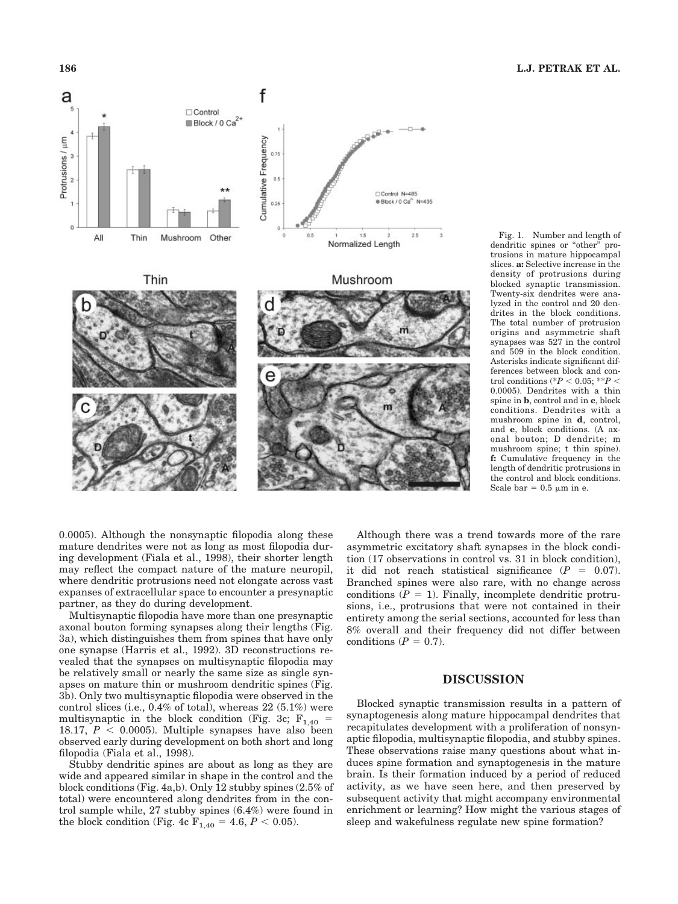

Fig. 1. Number and length of dendritic spines or "other" protrusions in mature hippocampal slices. **a:** Selective increase in the density of protrusions during blocked synaptic transmission. Twenty-six dendrites were analyzed in the control and 20 dendrites in the block conditions. The total number of protrusion origins and asymmetric shaft synapses was 527 in the control and 509 in the block condition. Asterisks indicate significant differences between block and control conditions  $(*P < 0.05; **P <$ 0.0005). Dendrites with a thin spine in **b**, control and in **c**, block conditions. Dendrites with a mushroom spine in **d**, control, and **e**, block conditions. (A axonal bouton; D dendrite; m mushroom spine; t thin spine). **f:** Cumulative frequency in the length of dendritic protrusions in the control and block conditions. Scale bar =  $0.5 \mu m$  in e.

0.0005). Although the nonsynaptic filopodia along these mature dendrites were not as long as most filopodia during development (Fiala et al., 1998), their shorter length may reflect the compact nature of the mature neuropil, where dendritic protrusions need not elongate across vast expanses of extracellular space to encounter a presynaptic partner, as they do during development.

Multisynaptic filopodia have more than one presynaptic axonal bouton forming synapses along their lengths (Fig. 3a), which distinguishes them from spines that have only one synapse (Harris et al., 1992). 3D reconstructions revealed that the synapses on multisynaptic filopodia may be relatively small or nearly the same size as single synapses on mature thin or mushroom dendritic spines (Fig. 3b). Only two multisynaptic filopodia were observed in the control slices (i.e., 0.4% of total), whereas 22 (5.1%) were multisynaptic in the block condition (Fig. 3c;  $F_{1,40}$  = 18.17,  $P < 0.0005$ ). Multiple synapses have also been observed early during development on both short and long filopodia (Fiala et al., 1998).

Stubby dendritic spines are about as long as they are wide and appeared similar in shape in the control and the block conditions (Fig. 4a,b). Only 12 stubby spines (2.5% of total) were encountered along dendrites from in the control sample while, 27 stubby spines (6.4%) were found in the block condition (Fig. 4c  $\overline{F_{1,40}} = 4.6, P < 0.05$ ).

Although there was a trend towards more of the rare asymmetric excitatory shaft synapses in the block condition (17 observations in control vs. 31 in block condition), it did not reach statistical significance  $(P = 0.07)$ . Branched spines were also rare, with no change across conditions  $(P = 1)$ . Finally, incomplete dendritic protrusions, i.e., protrusions that were not contained in their entirety among the serial sections, accounted for less than 8% overall and their frequency did not differ between conditions  $(P = 0.7)$ .

# **DISCUSSION**

Blocked synaptic transmission results in a pattern of synaptogenesis along mature hippocampal dendrites that recapitulates development with a proliferation of nonsynaptic filopodia, multisynaptic filopodia, and stubby spines. These observations raise many questions about what induces spine formation and synaptogenesis in the mature brain. Is their formation induced by a period of reduced activity, as we have seen here, and then preserved by subsequent activity that might accompany environmental enrichment or learning? How might the various stages of sleep and wakefulness regulate new spine formation?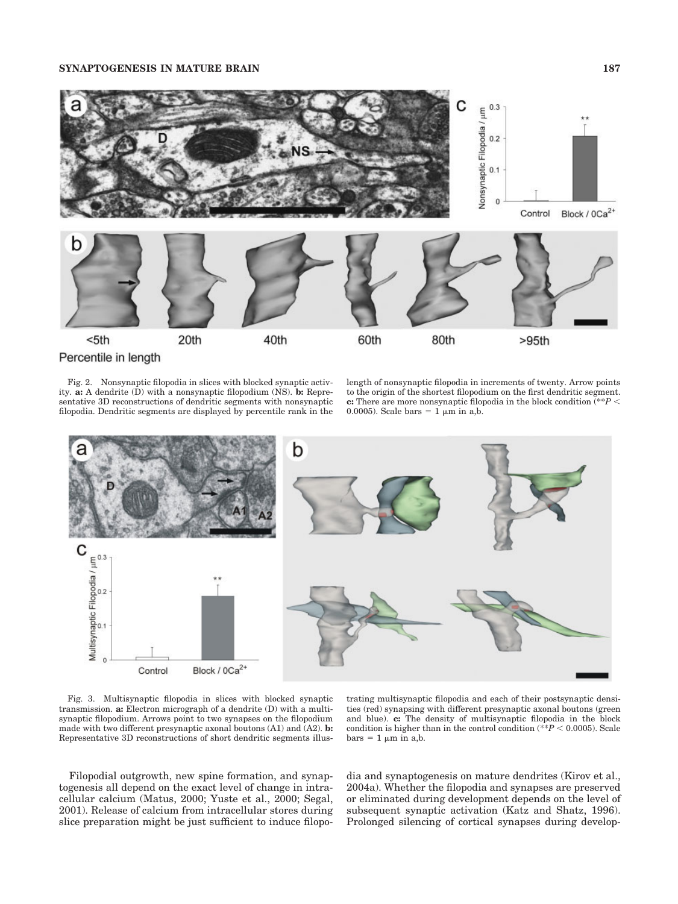

Fig. 2. Nonsynaptic filopodia in slices with blocked synaptic activity. **a:** A dendrite (D) with a nonsynaptic filopodium (NS). **b:** Representative 3D reconstructions of dendritic segments with nonsynaptic filopodia. Dendritic segments are displayed by percentile rank in the length of nonsynaptic filopodia in increments of twenty. Arrow points to the origin of the shortest filopodium on the first dendritic segment. **c:** There are more nonsynaptic filopodia in the block condition (\*\**P* 0.0005). Scale bars  $= 1 \mu m$  in a,b.



Fig. 3. Multisynaptic filopodia in slices with blocked synaptic transmission. **a:** Electron micrograph of a dendrite (D) with a multisynaptic filopodium. Arrows point to two synapses on the filopodium made with two different presynaptic axonal boutons (A1) and (A2). **b:** Representative 3D reconstructions of short dendritic segments illus-

trating multisynaptic filopodia and each of their postsynaptic densities (red) synapsing with different presynaptic axonal boutons (green and blue). **c:** The density of multisynaptic filopodia in the block condition is higher than in the control condition (\*\* $P < 0.0005$ ). Scale  $bars = 1 \mu m$  in a,b.

Filopodial outgrowth, new spine formation, and synaptogenesis all depend on the exact level of change in intracellular calcium (Matus, 2000; Yuste et al., 2000; Segal, 2001). Release of calcium from intracellular stores during slice preparation might be just sufficient to induce filopodia and synaptogenesis on mature dendrites (Kirov et al., 2004a). Whether the filopodia and synapses are preserved or eliminated during development depends on the level of subsequent synaptic activation (Katz and Shatz, 1996). Prolonged silencing of cortical synapses during develop-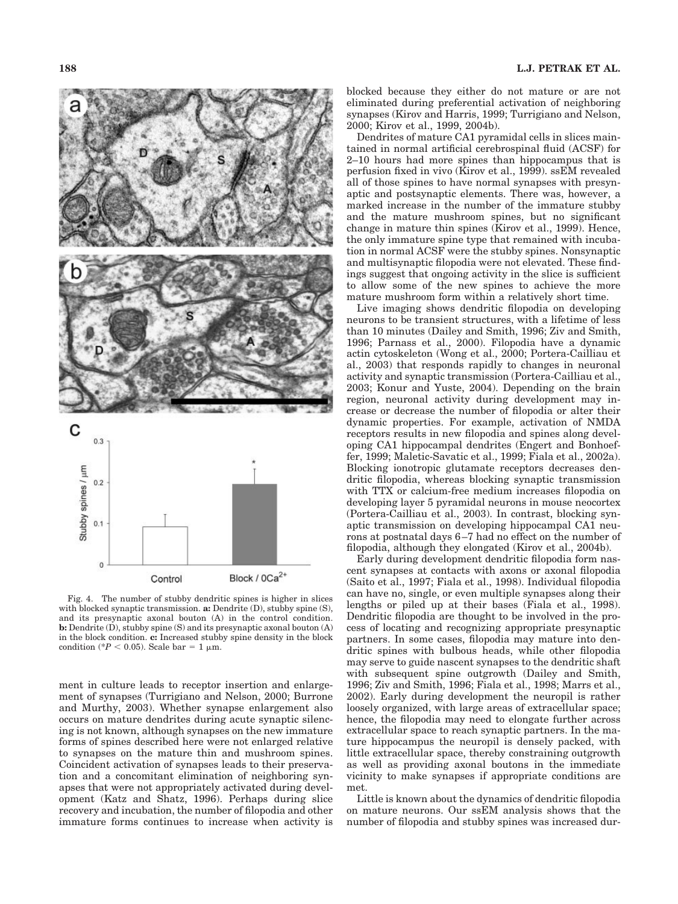

Fig. 4. The number of stubby dendritic spines is higher in slices with blocked synaptic transmission. **a:** Dendrite (D), stubby spine (S), and its presynaptic axonal bouton (A) in the control condition. **b:** Dendrite (D), stubby spine (S) and its presynaptic axonal bouton (A) in the block condition. **c:** Increased stubby spine density in the block condition (\* $P < 0.05$ ). Scale bar = 1  $\mu$ m.

ment in culture leads to receptor insertion and enlargement of synapses (Turrigiano and Nelson, 2000; Burrone and Murthy, 2003). Whether synapse enlargement also occurs on mature dendrites during acute synaptic silencing is not known, although synapses on the new immature forms of spines described here were not enlarged relative to synapses on the mature thin and mushroom spines. Coincident activation of synapses leads to their preservation and a concomitant elimination of neighboring synapses that were not appropriately activated during development (Katz and Shatz, 1996). Perhaps during slice recovery and incubation, the number of filopodia and other immature forms continues to increase when activity is blocked because they either do not mature or are not eliminated during preferential activation of neighboring synapses (Kirov and Harris, 1999; Turrigiano and Nelson, 2000; Kirov et al., 1999, 2004b).

Dendrites of mature CA1 pyramidal cells in slices maintained in normal artificial cerebrospinal fluid (ACSF) for 2–10 hours had more spines than hippocampus that is perfusion fixed in vivo (Kirov et al., 1999). ssEM revealed all of those spines to have normal synapses with presynaptic and postsynaptic elements. There was, however, a marked increase in the number of the immature stubby and the mature mushroom spines, but no significant change in mature thin spines (Kirov et al., 1999). Hence, the only immature spine type that remained with incubation in normal ACSF were the stubby spines. Nonsynaptic and multisynaptic filopodia were not elevated. These findings suggest that ongoing activity in the slice is sufficient to allow some of the new spines to achieve the more mature mushroom form within a relatively short time.

Live imaging shows dendritic filopodia on developing neurons to be transient structures, with a lifetime of less than 10 minutes (Dailey and Smith, 1996; Ziv and Smith, 1996; Parnass et al., 2000). Filopodia have a dynamic actin cytoskeleton (Wong et al., 2000; Portera-Cailliau et al., 2003) that responds rapidly to changes in neuronal activity and synaptic transmission (Portera-Cailliau et al., 2003; Konur and Yuste, 2004). Depending on the brain region, neuronal activity during development may increase or decrease the number of filopodia or alter their dynamic properties. For example, activation of NMDA receptors results in new filopodia and spines along developing CA1 hippocampal dendrites (Engert and Bonhoeffer, 1999; Maletic-Savatic et al., 1999; Fiala et al., 2002a). Blocking ionotropic glutamate receptors decreases dendritic filopodia, whereas blocking synaptic transmission with TTX or calcium-free medium increases filopodia on developing layer 5 pyramidal neurons in mouse neocortex (Portera-Cailliau et al., 2003). In contrast, blocking synaptic transmission on developing hippocampal CA1 neurons at postnatal days 6 –7 had no effect on the number of filopodia, although they elongated (Kirov et al., 2004b).

Early during development dendritic filopodia form nascent synapses at contacts with axons or axonal filopodia (Saito et al., 1997; Fiala et al., 1998). Individual filopodia can have no, single, or even multiple synapses along their lengths or piled up at their bases (Fiala et al., 1998). Dendritic filopodia are thought to be involved in the process of locating and recognizing appropriate presynaptic partners. In some cases, filopodia may mature into dendritic spines with bulbous heads, while other filopodia may serve to guide nascent synapses to the dendritic shaft with subsequent spine outgrowth (Dailey and Smith, 1996; Ziv and Smith, 1996; Fiala et al., 1998; Marrs et al., 2002). Early during development the neuropil is rather loosely organized, with large areas of extracellular space; hence, the filopodia may need to elongate further across extracellular space to reach synaptic partners. In the mature hippocampus the neuropil is densely packed, with little extracellular space, thereby constraining outgrowth as well as providing axonal boutons in the immediate vicinity to make synapses if appropriate conditions are met.

Little is known about the dynamics of dendritic filopodia on mature neurons. Our ssEM analysis shows that the number of filopodia and stubby spines was increased dur-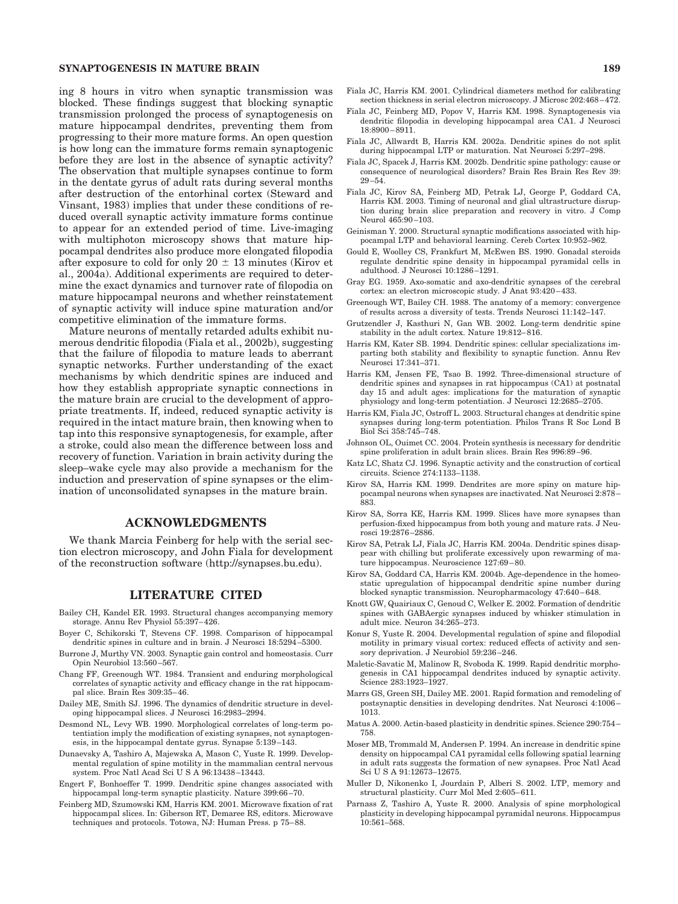#### **SYNAPTOGENESIS IN MATURE BRAIN 189**

ing 8 hours in vitro when synaptic transmission was blocked. These findings suggest that blocking synaptic transmission prolonged the process of synaptogenesis on mature hippocampal dendrites, preventing them from progressing to their more mature forms. An open question is how long can the immature forms remain synaptogenic before they are lost in the absence of synaptic activity? The observation that multiple synapses continue to form in the dentate gyrus of adult rats during several months after destruction of the entorhinal cortex (Steward and Vinsant, 1983) implies that under these conditions of reduced overall synaptic activity immature forms continue to appear for an extended period of time. Live-imaging with multiphoton microscopy shows that mature hippocampal dendrites also produce more elongated filopodia after exposure to cold for only  $20 \pm 13$  minutes (Kirov et al., 2004a). Additional experiments are required to determine the exact dynamics and turnover rate of filopodia on mature hippocampal neurons and whether reinstatement of synaptic activity will induce spine maturation and/or competitive elimination of the immature forms.

Mature neurons of mentally retarded adults exhibit numerous dendritic filopodia (Fiala et al., 2002b), suggesting that the failure of filopodia to mature leads to aberrant synaptic networks. Further understanding of the exact mechanisms by which dendritic spines are induced and how they establish appropriate synaptic connections in the mature brain are crucial to the development of appropriate treatments. If, indeed, reduced synaptic activity is required in the intact mature brain, then knowing when to tap into this responsive synaptogenesis, for example, after a stroke, could also mean the difference between loss and recovery of function. Variation in brain activity during the sleep–wake cycle may also provide a mechanism for the induction and preservation of spine synapses or the elimination of unconsolidated synapses in the mature brain.

## **ACKNOWLEDGMENTS**

We thank Marcia Feinberg for help with the serial section electron microscopy, and John Fiala for development of the reconstruction software (http://synapses.bu.edu).

#### **LITERATURE CITED**

- Bailey CH, Kandel ER. 1993. Structural changes accompanying memory storage. Annu Rev Physiol 55:397– 426.
- Boyer C, Schikorski T, Stevens CF. 1998. Comparison of hippocampal dendritic spines in culture and in brain. J Neurosci 18:5294 –5300.
- Burrone J, Murthy VN. 2003. Synaptic gain control and homeostasis. Curr Opin Neurobiol 13:560 –567.
- Chang FF, Greenough WT. 1984. Transient and enduring morphological correlates of synaptic activity and efficacy change in the rat hippocampal slice. Brain Res 309:35– 46.
- Dailey ME, Smith SJ. 1996. The dynamics of dendritic structure in developing hippocampal slices. J Neurosci 16:2983–2994.
- Desmond NL, Levy WB. 1990. Morphological correlates of long-term potentiation imply the modification of existing synapses, not synaptogenesis, in the hippocampal dentate gyrus. Synapse 5:139 –143.
- Dunaevsky A, Tashiro A, Majewska A, Mason C, Yuste R. 1999. Developmental regulation of spine motility in the mammalian central nervous system. Proc Natl Acad Sci U S A 96:13438-13443.
- Engert F, Bonhoeffer T. 1999. Dendritic spine changes associated with hippocampal long-term synaptic plasticity. Nature 399:66-70.
- Feinberg MD, Szumowski KM, Harris KM. 2001. Microwave fixation of rat hippocampal slices. In: Giberson RT, Demaree RS, editors. Microwave techniques and protocols. Totowa, NJ: Human Press. p 75– 88.
- Fiala JC, Harris KM. 2001. Cylindrical diameters method for calibrating section thickness in serial electron microscopy. J Microsc 202:468-472.
- Fiala JC, Feinberg MD, Popov V, Harris KM. 1998. Synaptogenesis via dendritic filopodia in developing hippocampal area CA1. J Neurosci 18:8900 – 8911.
- Fiala JC, Allwardt B, Harris KM. 2002a. Dendritic spines do not split during hippocampal LTP or maturation. Nat Neurosci 5:297–298.
- Fiala JC, Spacek J, Harris KM. 2002b. Dendritic spine pathology: cause or consequence of neurological disorders? Brain Res Brain Res Rev 39:  $29 - 54$ .
- Fiala JC, Kirov SA, Feinberg MD, Petrak LJ, George P, Goddard CA, Harris KM. 2003. Timing of neuronal and glial ultrastructure disruption during brain slice preparation and recovery in vitro. J Comp Neurol 465:90 –103.
- Geinisman Y. 2000. Structural synaptic modifications associated with hippocampal LTP and behavioral learning. Cereb Cortex 10:952–962.
- Gould E, Woolley CS, Frankfurt M, McEwen BS. 1990. Gonadal steroids regulate dendritic spine density in hippocampal pyramidal cells in adulthood. J Neurosci 10:1286 –1291.
- Gray EG. 1959. Axo-somatic and axo-dendritic synapses of the cerebral cortex: an electron microscopic study. J Anat 93:420 – 433.
- Greenough WT, Bailey CH. 1988. The anatomy of a memory: convergence of results across a diversity of tests. Trends Neurosci 11:142–147.
- Grutzendler J, Kasthuri N, Gan WB. 2002. Long-term dendritic spine stability in the adult cortex. Nature 19:812– 816.
- Harris KM, Kater SB. 1994. Dendritic spines: cellular specializations imparting both stability and flexibility to synaptic function. Annu Rev Neurosci 17:341–371.
- Harris KM, Jensen FE, Tsao B. 1992. Three-dimensional structure of dendritic spines and synapses in rat hippocampus (CA1) at postnatal day 15 and adult ages: implications for the maturation of synaptic physiology and long-term potentiation. J Neurosci 12:2685–2705.
- Harris KM, Fiala JC, Ostroff L. 2003. Structural changes at dendritic spine synapses during long-term potentiation. Philos Trans R Soc Lond B Biol Sci 358:745–748.
- Johnson OL, Ouimet CC. 2004. Protein synthesis is necessary for dendritic spine proliferation in adult brain slices. Brain Res 996:89 –96.
- Katz LC, Shatz CJ. 1996. Synaptic activity and the construction of cortical circuits. Science 274:1133–1138.
- Kirov SA, Harris KM. 1999. Dendrites are more spiny on mature hippocampal neurons when synapses are inactivated. Nat Neurosci 2:878 – 883.
- Kirov SA, Sorra KE, Harris KM. 1999. Slices have more synapses than perfusion-fixed hippocampus from both young and mature rats. J Neurosci 19:2876 –2886.
- Kirov SA, Petrak LJ, Fiala JC, Harris KM. 2004a. Dendritic spines disappear with chilling but proliferate excessively upon rewarming of mature hippocampus. Neuroscience 127:69 – 80.
- Kirov SA, Goddard CA, Harris KM. 2004b. Age-dependence in the homeostatic upregulation of hippocampal dendritic spine number during blocked synaptic transmission. Neuropharmacology 47:640 – 648.
- Knott GW, Quairiaux C, Genoud C, Welker E. 2002. Formation of dendritic spines with GABAergic synapses induced by whisker stimulation in adult mice. Neuron 34:265–273.
- Konur S, Yuste R. 2004. Developmental regulation of spine and filopodial motility in primary visual cortex: reduced effects of activity and sensory deprivation. J Neurobiol 59:236 –246.
- Maletic-Savatic M, Malinow R, Svoboda K. 1999. Rapid dendritic morphogenesis in CA1 hippocampal dendrites induced by synaptic activity. Science 283:1923–1927.
- Marrs GS, Green SH, Dailey ME. 2001. Rapid formation and remodeling of postsynaptic densities in developing dendrites. Nat Neurosci 4:1006 – 1013.
- Matus A. 2000. Actin-based plasticity in dendritic spines. Science 290:754 758.
- Moser MB, Trommald M, Andersen P. 1994. An increase in dendritic spine density on hippocampal CA1 pyramidal cells following spatial learning in adult rats suggests the formation of new synapses. Proc Natl Acad Sci U S A 91:12673–12675.
- Muller D, Nikonenko I, Jourdain P, Alberi S. 2002. LTP, memory and structural plasticity. Curr Mol Med 2:605– 611.
- Parnass Z, Tashiro A, Yuste R. 2000. Analysis of spine morphological plasticity in developing hippocampal pyramidal neurons. Hippocampus 10:561–568.